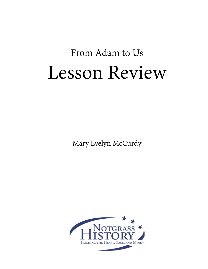# From Adam to Us Lesson Review

Mary Evelyn McCurdy

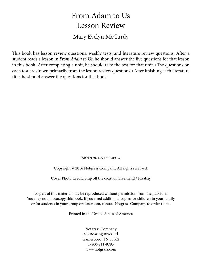# From Adam to Us Lesson Review

# Mary Evelyn McCurdy

This book has lesson review questions, weekly tests, and literature review questions. After a student reads a lesson in *From Adam to Us*, he should answer the five questions for that lesson in this book. After completing a unit, he should take the test for that unit. (The questions on each test are drawn primarily from the lesson review questions.) After finishing each literature title, he should answer the questions for that book.

ISBN 978-1-60999-091-6

Copyright © 2016 Notgrass Company. All rights reserved.

Cover Photo Credit: Ship off the coast of Greenland / Pixabay

No part of this material may be reproduced without permission from the publisher. You may not photocopy this book. If you need additional copies for children in your family or for students in your group or classroom, contact Notgrass Company to order them.

Printed in the United States of America

Notgrass Company 975 Roaring River Rd. Gainesboro, TN 38562 1-800-211-8793 www.notgrass.com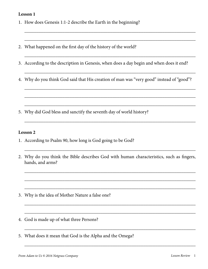- 1. How does Genesis 1:1-2 describe the Earth in the beginning?
- 2. What happened on the first day of the history of the world?
- 3. According to the description in Genesis, when does a day begin and when does it end?

\_\_\_\_\_\_\_\_\_\_\_\_\_\_\_\_\_\_\_\_\_\_\_\_\_\_\_\_\_\_\_\_\_\_\_\_\_\_\_\_\_\_\_\_\_\_\_\_\_\_\_\_\_\_\_\_\_\_\_\_\_\_\_\_\_\_\_\_\_\_\_\_

\_\_\_\_\_\_\_\_\_\_\_\_\_\_\_\_\_\_\_\_\_\_\_\_\_\_\_\_\_\_\_\_\_\_\_\_\_\_\_\_\_\_\_\_\_\_\_\_\_\_\_\_\_\_\_\_\_\_\_\_\_\_\_\_\_\_\_\_\_\_\_\_

\_\_\_\_\_\_\_\_\_\_\_\_\_\_\_\_\_\_\_\_\_\_\_\_\_\_\_\_\_\_\_\_\_\_\_\_\_\_\_\_\_\_\_\_\_\_\_\_\_\_\_\_\_\_\_\_\_\_\_\_\_\_\_\_\_\_\_\_\_\_\_\_

\_\_\_\_\_\_\_\_\_\_\_\_\_\_\_\_\_\_\_\_\_\_\_\_\_\_\_\_\_\_\_\_\_\_\_\_\_\_\_\_\_\_\_\_\_\_\_\_\_\_\_\_\_\_\_\_\_\_\_\_\_\_\_\_\_\_\_\_\_\_\_\_

\_\_\_\_\_\_\_\_\_\_\_\_\_\_\_\_\_\_\_\_\_\_\_\_\_\_\_\_\_\_\_\_\_\_\_\_\_\_\_\_\_\_\_\_\_\_\_\_\_\_\_\_\_\_\_\_\_\_\_\_\_\_\_\_\_\_\_\_\_\_\_\_

\_\_\_\_\_\_\_\_\_\_\_\_\_\_\_\_\_\_\_\_\_\_\_\_\_\_\_\_\_\_\_\_\_\_\_\_\_\_\_\_\_\_\_\_\_\_\_\_\_\_\_\_\_\_\_\_\_\_\_\_\_\_\_\_\_\_\_\_\_\_\_\_

\_\_\_\_\_\_\_\_\_\_\_\_\_\_\_\_\_\_\_\_\_\_\_\_\_\_\_\_\_\_\_\_\_\_\_\_\_\_\_\_\_\_\_\_\_\_\_\_\_\_\_\_\_\_\_\_\_\_\_\_\_\_\_\_\_\_\_\_\_\_\_\_

\_\_\_\_\_\_\_\_\_\_\_\_\_\_\_\_\_\_\_\_\_\_\_\_\_\_\_\_\_\_\_\_\_\_\_\_\_\_\_\_\_\_\_\_\_\_\_\_\_\_\_\_\_\_\_\_\_\_\_\_\_\_\_\_\_\_\_\_\_\_\_\_

4. Why do you think God said that His creation of man was "very good" instead of "good"?

5. Why did God bless and sanctify the seventh day of world history?

#### **Lesson 2**

- 1. According to Psalm 90, how long is God going to be God?
- 2. Why do you think the Bible describes God with human characteristics, such as fingers, hands, and arms?

\_\_\_\_\_\_\_\_\_\_\_\_\_\_\_\_\_\_\_\_\_\_\_\_\_\_\_\_\_\_\_\_\_\_\_\_\_\_\_\_\_\_\_\_\_\_\_\_\_\_\_\_\_\_\_\_\_\_\_\_\_\_\_\_\_\_\_\_\_\_\_\_

\_\_\_\_\_\_\_\_\_\_\_\_\_\_\_\_\_\_\_\_\_\_\_\_\_\_\_\_\_\_\_\_\_\_\_\_\_\_\_\_\_\_\_\_\_\_\_\_\_\_\_\_\_\_\_\_\_\_\_\_\_\_\_\_\_\_\_\_\_\_\_\_

\_\_\_\_\_\_\_\_\_\_\_\_\_\_\_\_\_\_\_\_\_\_\_\_\_\_\_\_\_\_\_\_\_\_\_\_\_\_\_\_\_\_\_\_\_\_\_\_\_\_\_\_\_\_\_\_\_\_\_\_\_\_\_\_\_\_\_\_\_\_\_\_

\_\_\_\_\_\_\_\_\_\_\_\_\_\_\_\_\_\_\_\_\_\_\_\_\_\_\_\_\_\_\_\_\_\_\_\_\_\_\_\_\_\_\_\_\_\_\_\_\_\_\_\_\_\_\_\_\_\_\_\_\_\_\_\_\_\_\_\_\_\_\_\_

\_\_\_\_\_\_\_\_\_\_\_\_\_\_\_\_\_\_\_\_\_\_\_\_\_\_\_\_\_\_\_\_\_\_\_\_\_\_\_\_\_\_\_\_\_\_\_\_\_\_\_\_\_\_\_\_\_\_\_\_\_\_\_\_\_\_\_\_\_\_\_\_

\_\_\_\_\_\_\_\_\_\_\_\_\_\_\_\_\_\_\_\_\_\_\_\_\_\_\_\_\_\_\_\_\_\_\_\_\_\_\_\_\_\_\_\_\_\_\_\_\_\_\_\_\_\_\_\_\_\_\_\_\_\_\_\_\_\_\_\_\_\_\_\_

\_\_\_\_\_\_\_\_\_\_\_\_\_\_\_\_\_\_\_\_\_\_\_\_\_\_\_\_\_\_\_\_\_\_\_\_\_\_\_\_\_\_\_\_\_\_\_\_\_\_\_\_\_\_\_\_\_\_\_\_\_\_\_\_\_\_\_\_\_\_\_\_

\_\_\_\_\_\_\_\_\_\_\_\_\_\_\_\_\_\_\_\_\_\_\_\_\_\_\_\_\_\_\_\_\_\_\_\_\_\_\_\_\_\_\_\_\_\_\_\_\_\_\_\_\_\_\_\_\_\_\_\_\_\_\_\_\_\_\_\_\_\_\_\_

- 3. Why is the idea of Mother Nature a false one?
- 4. God is made up of what three Persons?
- 5. What does it mean that God is the Alpha and the Omega?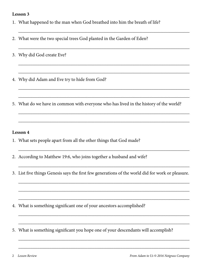1. What happened to the man when God breathed into him the breath of life?

\_\_\_\_\_\_\_\_\_\_\_\_\_\_\_\_\_\_\_\_\_\_\_\_\_\_\_\_\_\_\_\_\_\_\_\_\_\_\_\_\_\_\_\_\_\_\_\_\_\_\_\_\_\_\_\_\_\_\_\_\_\_\_\_\_\_\_\_\_\_\_\_

\_\_\_\_\_\_\_\_\_\_\_\_\_\_\_\_\_\_\_\_\_\_\_\_\_\_\_\_\_\_\_\_\_\_\_\_\_\_\_\_\_\_\_\_\_\_\_\_\_\_\_\_\_\_\_\_\_\_\_\_\_\_\_\_\_\_\_\_\_\_\_\_

\_\_\_\_\_\_\_\_\_\_\_\_\_\_\_\_\_\_\_\_\_\_\_\_\_\_\_\_\_\_\_\_\_\_\_\_\_\_\_\_\_\_\_\_\_\_\_\_\_\_\_\_\_\_\_\_\_\_\_\_\_\_\_\_\_\_\_\_\_\_\_\_

\_\_\_\_\_\_\_\_\_\_\_\_\_\_\_\_\_\_\_\_\_\_\_\_\_\_\_\_\_\_\_\_\_\_\_\_\_\_\_\_\_\_\_\_\_\_\_\_\_\_\_\_\_\_\_\_\_\_\_\_\_\_\_\_\_\_\_\_\_\_\_\_

\_\_\_\_\_\_\_\_\_\_\_\_\_\_\_\_\_\_\_\_\_\_\_\_\_\_\_\_\_\_\_\_\_\_\_\_\_\_\_\_\_\_\_\_\_\_\_\_\_\_\_\_\_\_\_\_\_\_\_\_\_\_\_\_\_\_\_\_\_\_\_\_

\_\_\_\_\_\_\_\_\_\_\_\_\_\_\_\_\_\_\_\_\_\_\_\_\_\_\_\_\_\_\_\_\_\_\_\_\_\_\_\_\_\_\_\_\_\_\_\_\_\_\_\_\_\_\_\_\_\_\_\_\_\_\_\_\_\_\_\_\_\_\_\_

\_\_\_\_\_\_\_\_\_\_\_\_\_\_\_\_\_\_\_\_\_\_\_\_\_\_\_\_\_\_\_\_\_\_\_\_\_\_\_\_\_\_\_\_\_\_\_\_\_\_\_\_\_\_\_\_\_\_\_\_\_\_\_\_\_\_\_\_\_\_\_\_

\_\_\_\_\_\_\_\_\_\_\_\_\_\_\_\_\_\_\_\_\_\_\_\_\_\_\_\_\_\_\_\_\_\_\_\_\_\_\_\_\_\_\_\_\_\_\_\_\_\_\_\_\_\_\_\_\_\_\_\_\_\_\_\_\_\_\_\_\_\_\_\_

\_\_\_\_\_\_\_\_\_\_\_\_\_\_\_\_\_\_\_\_\_\_\_\_\_\_\_\_\_\_\_\_\_\_\_\_\_\_\_\_\_\_\_\_\_\_\_\_\_\_\_\_\_\_\_\_\_\_\_\_\_\_\_\_\_\_\_\_\_\_\_\_

\_\_\_\_\_\_\_\_\_\_\_\_\_\_\_\_\_\_\_\_\_\_\_\_\_\_\_\_\_\_\_\_\_\_\_\_\_\_\_\_\_\_\_\_\_\_\_\_\_\_\_\_\_\_\_\_\_\_\_\_\_\_\_\_\_\_\_\_\_\_\_\_

\_\_\_\_\_\_\_\_\_\_\_\_\_\_\_\_\_\_\_\_\_\_\_\_\_\_\_\_\_\_\_\_\_\_\_\_\_\_\_\_\_\_\_\_\_\_\_\_\_\_\_\_\_\_\_\_\_\_\_\_\_\_\_\_\_\_\_\_\_\_\_\_

\_\_\_\_\_\_\_\_\_\_\_\_\_\_\_\_\_\_\_\_\_\_\_\_\_\_\_\_\_\_\_\_\_\_\_\_\_\_\_\_\_\_\_\_\_\_\_\_\_\_\_\_\_\_\_\_\_\_\_\_\_\_\_\_\_\_\_\_\_\_\_\_

\_\_\_\_\_\_\_\_\_\_\_\_\_\_\_\_\_\_\_\_\_\_\_\_\_\_\_\_\_\_\_\_\_\_\_\_\_\_\_\_\_\_\_\_\_\_\_\_\_\_\_\_\_\_\_\_\_\_\_\_\_\_\_\_\_\_\_\_\_\_\_\_

\_\_\_\_\_\_\_\_\_\_\_\_\_\_\_\_\_\_\_\_\_\_\_\_\_\_\_\_\_\_\_\_\_\_\_\_\_\_\_\_\_\_\_\_\_\_\_\_\_\_\_\_\_\_\_\_\_\_\_\_\_\_\_\_\_\_\_\_\_\_\_\_

\_\_\_\_\_\_\_\_\_\_\_\_\_\_\_\_\_\_\_\_\_\_\_\_\_\_\_\_\_\_\_\_\_\_\_\_\_\_\_\_\_\_\_\_\_\_\_\_\_\_\_\_\_\_\_\_\_\_\_\_\_\_\_\_\_\_\_\_\_\_\_\_

\_\_\_\_\_\_\_\_\_\_\_\_\_\_\_\_\_\_\_\_\_\_\_\_\_\_\_\_\_\_\_\_\_\_\_\_\_\_\_\_\_\_\_\_\_\_\_\_\_\_\_\_\_\_\_\_\_\_\_\_\_\_\_\_\_\_\_\_\_\_\_\_

\_\_\_\_\_\_\_\_\_\_\_\_\_\_\_\_\_\_\_\_\_\_\_\_\_\_\_\_\_\_\_\_\_\_\_\_\_\_\_\_\_\_\_\_\_\_\_\_\_\_\_\_\_\_\_\_\_\_\_\_\_\_\_\_\_\_\_\_\_\_\_\_

- 2. What were the two special trees God planted in the Garden of Eden?
- 3. Why did God create Eve?
- 4. Why did Adam and Eve try to hide from God?
- 5. What do we have in common with everyone who has lived in the history of the world?

- 1. What sets people apart from all the other things that God made?
- 2. According to Matthew 19:6, who joins together a husband and wife?
- 3. List five things Genesis says the first few generations of the world did for work or pleasure.

- 4. What is something significant one of your ancestors accomplished?
- 5. What is something significant you hope one of your descendants will accomplish?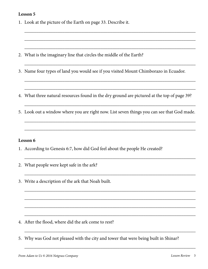1. Look at the picture of the Earth on page 33. Describe it.

- 2. What is the imaginary line that circles the middle of the Earth?
- 3. Name four types of land you would see if you visited Mount Chimborazo in Ecuador.

\_\_\_\_\_\_\_\_\_\_\_\_\_\_\_\_\_\_\_\_\_\_\_\_\_\_\_\_\_\_\_\_\_\_\_\_\_\_\_\_\_\_\_\_\_\_\_\_\_\_\_\_\_\_\_\_\_\_\_\_\_\_\_\_\_\_\_\_\_\_\_\_

\_\_\_\_\_\_\_\_\_\_\_\_\_\_\_\_\_\_\_\_\_\_\_\_\_\_\_\_\_\_\_\_\_\_\_\_\_\_\_\_\_\_\_\_\_\_\_\_\_\_\_\_\_\_\_\_\_\_\_\_\_\_\_\_\_\_\_\_\_\_\_\_

\_\_\_\_\_\_\_\_\_\_\_\_\_\_\_\_\_\_\_\_\_\_\_\_\_\_\_\_\_\_\_\_\_\_\_\_\_\_\_\_\_\_\_\_\_\_\_\_\_\_\_\_\_\_\_\_\_\_\_\_\_\_\_\_\_\_\_\_\_\_\_\_

\_\_\_\_\_\_\_\_\_\_\_\_\_\_\_\_\_\_\_\_\_\_\_\_\_\_\_\_\_\_\_\_\_\_\_\_\_\_\_\_\_\_\_\_\_\_\_\_\_\_\_\_\_\_\_\_\_\_\_\_\_\_\_\_\_\_\_\_\_\_\_\_

\_\_\_\_\_\_\_\_\_\_\_\_\_\_\_\_\_\_\_\_\_\_\_\_\_\_\_\_\_\_\_\_\_\_\_\_\_\_\_\_\_\_\_\_\_\_\_\_\_\_\_\_\_\_\_\_\_\_\_\_\_\_\_\_\_\_\_\_\_\_\_\_

\_\_\_\_\_\_\_\_\_\_\_\_\_\_\_\_\_\_\_\_\_\_\_\_\_\_\_\_\_\_\_\_\_\_\_\_\_\_\_\_\_\_\_\_\_\_\_\_\_\_\_\_\_\_\_\_\_\_\_\_\_\_\_\_\_\_\_\_\_\_\_\_

\_\_\_\_\_\_\_\_\_\_\_\_\_\_\_\_\_\_\_\_\_\_\_\_\_\_\_\_\_\_\_\_\_\_\_\_\_\_\_\_\_\_\_\_\_\_\_\_\_\_\_\_\_\_\_\_\_\_\_\_\_\_\_\_\_\_\_\_\_\_\_\_

\_\_\_\_\_\_\_\_\_\_\_\_\_\_\_\_\_\_\_\_\_\_\_\_\_\_\_\_\_\_\_\_\_\_\_\_\_\_\_\_\_\_\_\_\_\_\_\_\_\_\_\_\_\_\_\_\_\_\_\_\_\_\_\_\_\_\_\_\_\_\_\_

\_\_\_\_\_\_\_\_\_\_\_\_\_\_\_\_\_\_\_\_\_\_\_\_\_\_\_\_\_\_\_\_\_\_\_\_\_\_\_\_\_\_\_\_\_\_\_\_\_\_\_\_\_\_\_\_\_\_\_\_\_\_\_\_\_\_\_\_\_\_\_\_

\_\_\_\_\_\_\_\_\_\_\_\_\_\_\_\_\_\_\_\_\_\_\_\_\_\_\_\_\_\_\_\_\_\_\_\_\_\_\_\_\_\_\_\_\_\_\_\_\_\_\_\_\_\_\_\_\_\_\_\_\_\_\_\_\_\_\_\_\_\_\_\_

\_\_\_\_\_\_\_\_\_\_\_\_\_\_\_\_\_\_\_\_\_\_\_\_\_\_\_\_\_\_\_\_\_\_\_\_\_\_\_\_\_\_\_\_\_\_\_\_\_\_\_\_\_\_\_\_\_\_\_\_\_\_\_\_\_\_\_\_\_\_\_\_

\_\_\_\_\_\_\_\_\_\_\_\_\_\_\_\_\_\_\_\_\_\_\_\_\_\_\_\_\_\_\_\_\_\_\_\_\_\_\_\_\_\_\_\_\_\_\_\_\_\_\_\_\_\_\_\_\_\_\_\_\_\_\_\_\_\_\_\_\_\_\_\_

\_\_\_\_\_\_\_\_\_\_\_\_\_\_\_\_\_\_\_\_\_\_\_\_\_\_\_\_\_\_\_\_\_\_\_\_\_\_\_\_\_\_\_\_\_\_\_\_\_\_\_\_\_\_\_\_\_\_\_\_\_\_\_\_\_\_\_\_\_\_\_\_

\_\_\_\_\_\_\_\_\_\_\_\_\_\_\_\_\_\_\_\_\_\_\_\_\_\_\_\_\_\_\_\_\_\_\_\_\_\_\_\_\_\_\_\_\_\_\_\_\_\_\_\_\_\_\_\_\_\_\_\_\_\_\_\_\_\_\_\_\_\_\_\_

\_\_\_\_\_\_\_\_\_\_\_\_\_\_\_\_\_\_\_\_\_\_\_\_\_\_\_\_\_\_\_\_\_\_\_\_\_\_\_\_\_\_\_\_\_\_\_\_\_\_\_\_\_\_\_\_\_\_\_\_\_\_\_\_\_\_\_\_\_\_\_\_

\_\_\_\_\_\_\_\_\_\_\_\_\_\_\_\_\_\_\_\_\_\_\_\_\_\_\_\_\_\_\_\_\_\_\_\_\_\_\_\_\_\_\_\_\_\_\_\_\_\_\_\_\_\_\_\_\_\_\_\_\_\_\_\_\_\_\_\_\_\_\_\_

\_\_\_\_\_\_\_\_\_\_\_\_\_\_\_\_\_\_\_\_\_\_\_\_\_\_\_\_\_\_\_\_\_\_\_\_\_\_\_\_\_\_\_\_\_\_\_\_\_\_\_\_\_\_\_\_\_\_\_\_\_\_\_\_\_\_\_\_\_\_\_\_

- 4. What three natural resources found in the dry ground are pictured at the top of page 39?
- 5. Look out a window where you are right now. List seven things you can see that God made.

- 1. According to Genesis 6:7, how did God feel about the people He created?
- 2. What people were kept safe in the ark?
- 3. Write a description of the ark that Noah built.

- 4. After the flood, where did the ark come to rest?
- 5. Why was God not pleased with the city and tower that were being built in Shinar?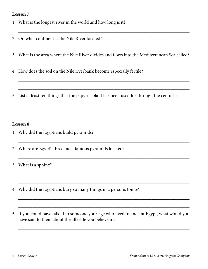- 1. What is the longest river in the world and how long is it?
- 2. On what continent is the Nile River located?
- 3. What is the area where the Nile River divides and flows into the Mediterranean Sea called?

\_\_\_\_\_\_\_\_\_\_\_\_\_\_\_\_\_\_\_\_\_\_\_\_\_\_\_\_\_\_\_\_\_\_\_\_\_\_\_\_\_\_\_\_\_\_\_\_\_\_\_\_\_\_\_\_\_\_\_\_\_\_\_\_\_\_\_\_\_\_\_\_

\_\_\_\_\_\_\_\_\_\_\_\_\_\_\_\_\_\_\_\_\_\_\_\_\_\_\_\_\_\_\_\_\_\_\_\_\_\_\_\_\_\_\_\_\_\_\_\_\_\_\_\_\_\_\_\_\_\_\_\_\_\_\_\_\_\_\_\_\_\_\_\_

\_\_\_\_\_\_\_\_\_\_\_\_\_\_\_\_\_\_\_\_\_\_\_\_\_\_\_\_\_\_\_\_\_\_\_\_\_\_\_\_\_\_\_\_\_\_\_\_\_\_\_\_\_\_\_\_\_\_\_\_\_\_\_\_\_\_\_\_\_\_\_\_

\_\_\_\_\_\_\_\_\_\_\_\_\_\_\_\_\_\_\_\_\_\_\_\_\_\_\_\_\_\_\_\_\_\_\_\_\_\_\_\_\_\_\_\_\_\_\_\_\_\_\_\_\_\_\_\_\_\_\_\_\_\_\_\_\_\_\_\_\_\_\_\_

\_\_\_\_\_\_\_\_\_\_\_\_\_\_\_\_\_\_\_\_\_\_\_\_\_\_\_\_\_\_\_\_\_\_\_\_\_\_\_\_\_\_\_\_\_\_\_\_\_\_\_\_\_\_\_\_\_\_\_\_\_\_\_\_\_\_\_\_\_\_\_\_

\_\_\_\_\_\_\_\_\_\_\_\_\_\_\_\_\_\_\_\_\_\_\_\_\_\_\_\_\_\_\_\_\_\_\_\_\_\_\_\_\_\_\_\_\_\_\_\_\_\_\_\_\_\_\_\_\_\_\_\_\_\_\_\_\_\_\_\_\_\_\_\_

\_\_\_\_\_\_\_\_\_\_\_\_\_\_\_\_\_\_\_\_\_\_\_\_\_\_\_\_\_\_\_\_\_\_\_\_\_\_\_\_\_\_\_\_\_\_\_\_\_\_\_\_\_\_\_\_\_\_\_\_\_\_\_\_\_\_\_\_\_\_\_\_

\_\_\_\_\_\_\_\_\_\_\_\_\_\_\_\_\_\_\_\_\_\_\_\_\_\_\_\_\_\_\_\_\_\_\_\_\_\_\_\_\_\_\_\_\_\_\_\_\_\_\_\_\_\_\_\_\_\_\_\_\_\_\_\_\_\_\_\_\_\_\_\_

\_\_\_\_\_\_\_\_\_\_\_\_\_\_\_\_\_\_\_\_\_\_\_\_\_\_\_\_\_\_\_\_\_\_\_\_\_\_\_\_\_\_\_\_\_\_\_\_\_\_\_\_\_\_\_\_\_\_\_\_\_\_\_\_\_\_\_\_\_\_\_\_

\_\_\_\_\_\_\_\_\_\_\_\_\_\_\_\_\_\_\_\_\_\_\_\_\_\_\_\_\_\_\_\_\_\_\_\_\_\_\_\_\_\_\_\_\_\_\_\_\_\_\_\_\_\_\_\_\_\_\_\_\_\_\_\_\_\_\_\_\_\_\_\_

\_\_\_\_\_\_\_\_\_\_\_\_\_\_\_\_\_\_\_\_\_\_\_\_\_\_\_\_\_\_\_\_\_\_\_\_\_\_\_\_\_\_\_\_\_\_\_\_\_\_\_\_\_\_\_\_\_\_\_\_\_\_\_\_\_\_\_\_\_\_\_\_

\_\_\_\_\_\_\_\_\_\_\_\_\_\_\_\_\_\_\_\_\_\_\_\_\_\_\_\_\_\_\_\_\_\_\_\_\_\_\_\_\_\_\_\_\_\_\_\_\_\_\_\_\_\_\_\_\_\_\_\_\_\_\_\_\_\_\_\_\_\_\_\_

\_\_\_\_\_\_\_\_\_\_\_\_\_\_\_\_\_\_\_\_\_\_\_\_\_\_\_\_\_\_\_\_\_\_\_\_\_\_\_\_\_\_\_\_\_\_\_\_\_\_\_\_\_\_\_\_\_\_\_\_\_\_\_\_\_\_\_\_\_\_\_\_

\_\_\_\_\_\_\_\_\_\_\_\_\_\_\_\_\_\_\_\_\_\_\_\_\_\_\_\_\_\_\_\_\_\_\_\_\_\_\_\_\_\_\_\_\_\_\_\_\_\_\_\_\_\_\_\_\_\_\_\_\_\_\_\_\_\_\_\_\_\_\_\_

\_\_\_\_\_\_\_\_\_\_\_\_\_\_\_\_\_\_\_\_\_\_\_\_\_\_\_\_\_\_\_\_\_\_\_\_\_\_\_\_\_\_\_\_\_\_\_\_\_\_\_\_\_\_\_\_\_\_\_\_\_\_\_\_\_\_\_\_\_\_\_\_

\_\_\_\_\_\_\_\_\_\_\_\_\_\_\_\_\_\_\_\_\_\_\_\_\_\_\_\_\_\_\_\_\_\_\_\_\_\_\_\_\_\_\_\_\_\_\_\_\_\_\_\_\_\_\_\_\_\_\_\_\_\_\_\_\_\_\_\_\_\_\_\_

- 4. How does the soil on the Nile riverbank become especially fertile?
- 5. List at least ten things that the papyrus plant has been used for through the centuries.

- 1. Why did the Egyptians build pyramids?
- 2. Where are Egypt's three most famous pyramids located?
- 3. What is a sphinx?
- 4. Why did the Egyptians bury so many things in a person's tomb?
- 5. If you could have talked to someone your age who lived in ancient Egypt, what would you have said to them about the afterlife you believe in?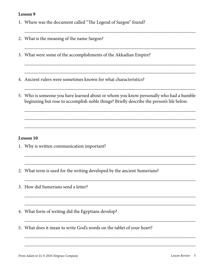- 1. Where was the document called "The Legend of Sargon" found?
- 2. What is the meaning of the name Sargon?
- 3. What were some of the accomplishments of the Akkadian Empire?
- 4. Ancient rulers were sometimes known for what characteristics?
- 5. Who is someone you have learned about or whom you know personally who had a humble beginning but rose to accomplish noble things? Briefly describe the person's life below.

\_\_\_\_\_\_\_\_\_\_\_\_\_\_\_\_\_\_\_\_\_\_\_\_\_\_\_\_\_\_\_\_\_\_\_\_\_\_\_\_\_\_\_\_\_\_\_\_\_\_\_\_\_\_\_\_\_\_\_\_\_\_\_\_\_\_\_\_\_\_\_\_

\_\_\_\_\_\_\_\_\_\_\_\_\_\_\_\_\_\_\_\_\_\_\_\_\_\_\_\_\_\_\_\_\_\_\_\_\_\_\_\_\_\_\_\_\_\_\_\_\_\_\_\_\_\_\_\_\_\_\_\_\_\_\_\_\_\_\_\_\_\_\_\_

\_\_\_\_\_\_\_\_\_\_\_\_\_\_\_\_\_\_\_\_\_\_\_\_\_\_\_\_\_\_\_\_\_\_\_\_\_\_\_\_\_\_\_\_\_\_\_\_\_\_\_\_\_\_\_\_\_\_\_\_\_\_\_\_\_\_\_\_\_\_\_\_

\_\_\_\_\_\_\_\_\_\_\_\_\_\_\_\_\_\_\_\_\_\_\_\_\_\_\_\_\_\_\_\_\_\_\_\_\_\_\_\_\_\_\_\_\_\_\_\_\_\_\_\_\_\_\_\_\_\_\_\_\_\_\_\_\_\_\_\_\_\_\_\_

\_\_\_\_\_\_\_\_\_\_\_\_\_\_\_\_\_\_\_\_\_\_\_\_\_\_\_\_\_\_\_\_\_\_\_\_\_\_\_\_\_\_\_\_\_\_\_\_\_\_\_\_\_\_\_\_\_\_\_\_\_\_\_\_\_\_\_\_\_\_\_\_

\_\_\_\_\_\_\_\_\_\_\_\_\_\_\_\_\_\_\_\_\_\_\_\_\_\_\_\_\_\_\_\_\_\_\_\_\_\_\_\_\_\_\_\_\_\_\_\_\_\_\_\_\_\_\_\_\_\_\_\_\_\_\_\_\_\_\_\_\_\_\_\_

\_\_\_\_\_\_\_\_\_\_\_\_\_\_\_\_\_\_\_\_\_\_\_\_\_\_\_\_\_\_\_\_\_\_\_\_\_\_\_\_\_\_\_\_\_\_\_\_\_\_\_\_\_\_\_\_\_\_\_\_\_\_\_\_\_\_\_\_\_\_\_\_

\_\_\_\_\_\_\_\_\_\_\_\_\_\_\_\_\_\_\_\_\_\_\_\_\_\_\_\_\_\_\_\_\_\_\_\_\_\_\_\_\_\_\_\_\_\_\_\_\_\_\_\_\_\_\_\_\_\_\_\_\_\_\_\_\_\_\_\_\_\_\_\_

\_\_\_\_\_\_\_\_\_\_\_\_\_\_\_\_\_\_\_\_\_\_\_\_\_\_\_\_\_\_\_\_\_\_\_\_\_\_\_\_\_\_\_\_\_\_\_\_\_\_\_\_\_\_\_\_\_\_\_\_\_\_\_\_\_\_\_\_\_\_\_\_

\_\_\_\_\_\_\_\_\_\_\_\_\_\_\_\_\_\_\_\_\_\_\_\_\_\_\_\_\_\_\_\_\_\_\_\_\_\_\_\_\_\_\_\_\_\_\_\_\_\_\_\_\_\_\_\_\_\_\_\_\_\_\_\_\_\_\_\_\_\_\_\_

\_\_\_\_\_\_\_\_\_\_\_\_\_\_\_\_\_\_\_\_\_\_\_\_\_\_\_\_\_\_\_\_\_\_\_\_\_\_\_\_\_\_\_\_\_\_\_\_\_\_\_\_\_\_\_\_\_\_\_\_\_\_\_\_\_\_\_\_\_\_\_\_

\_\_\_\_\_\_\_\_\_\_\_\_\_\_\_\_\_\_\_\_\_\_\_\_\_\_\_\_\_\_\_\_\_\_\_\_\_\_\_\_\_\_\_\_\_\_\_\_\_\_\_\_\_\_\_\_\_\_\_\_\_\_\_\_\_\_\_\_\_\_\_\_

\_\_\_\_\_\_\_\_\_\_\_\_\_\_\_\_\_\_\_\_\_\_\_\_\_\_\_\_\_\_\_\_\_\_\_\_\_\_\_\_\_\_\_\_\_\_\_\_\_\_\_\_\_\_\_\_\_\_\_\_\_\_\_\_\_\_\_\_\_\_\_\_

\_\_\_\_\_\_\_\_\_\_\_\_\_\_\_\_\_\_\_\_\_\_\_\_\_\_\_\_\_\_\_\_\_\_\_\_\_\_\_\_\_\_\_\_\_\_\_\_\_\_\_\_\_\_\_\_\_\_\_\_\_\_\_\_\_\_\_\_\_\_\_\_

\_\_\_\_\_\_\_\_\_\_\_\_\_\_\_\_\_\_\_\_\_\_\_\_\_\_\_\_\_\_\_\_\_\_\_\_\_\_\_\_\_\_\_\_\_\_\_\_\_\_\_\_\_\_\_\_\_\_\_\_\_\_\_\_\_\_\_\_\_\_\_\_

\_\_\_\_\_\_\_\_\_\_\_\_\_\_\_\_\_\_\_\_\_\_\_\_\_\_\_\_\_\_\_\_\_\_\_\_\_\_\_\_\_\_\_\_\_\_\_\_\_\_\_\_\_\_\_\_\_\_\_\_\_\_\_\_\_\_\_\_\_\_\_\_

- 1. Why is written communication important?
- 2. What term is used for the writing developed by the ancient Sumerians?
- 3. How did Sumerians send a letter?
- 4. What form of writing did the Egyptians develop?
- 5. What does it mean to write God's words on the tablet of your heart?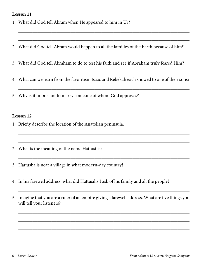- 1. What did God tell Abram when He appeared to him in Ur?
- 2. What did God tell Abram would happen to all the families of the Earth because of him?

\_\_\_\_\_\_\_\_\_\_\_\_\_\_\_\_\_\_\_\_\_\_\_\_\_\_\_\_\_\_\_\_\_\_\_\_\_\_\_\_\_\_\_\_\_\_\_\_\_\_\_\_\_\_\_\_\_\_\_\_\_\_\_\_\_\_\_\_\_\_\_\_

\_\_\_\_\_\_\_\_\_\_\_\_\_\_\_\_\_\_\_\_\_\_\_\_\_\_\_\_\_\_\_\_\_\_\_\_\_\_\_\_\_\_\_\_\_\_\_\_\_\_\_\_\_\_\_\_\_\_\_\_\_\_\_\_\_\_\_\_\_\_\_\_

\_\_\_\_\_\_\_\_\_\_\_\_\_\_\_\_\_\_\_\_\_\_\_\_\_\_\_\_\_\_\_\_\_\_\_\_\_\_\_\_\_\_\_\_\_\_\_\_\_\_\_\_\_\_\_\_\_\_\_\_\_\_\_\_\_\_\_\_\_\_\_\_

\_\_\_\_\_\_\_\_\_\_\_\_\_\_\_\_\_\_\_\_\_\_\_\_\_\_\_\_\_\_\_\_\_\_\_\_\_\_\_\_\_\_\_\_\_\_\_\_\_\_\_\_\_\_\_\_\_\_\_\_\_\_\_\_\_\_\_\_\_\_\_\_

\_\_\_\_\_\_\_\_\_\_\_\_\_\_\_\_\_\_\_\_\_\_\_\_\_\_\_\_\_\_\_\_\_\_\_\_\_\_\_\_\_\_\_\_\_\_\_\_\_\_\_\_\_\_\_\_\_\_\_\_\_\_\_\_\_\_\_\_\_\_\_\_

\_\_\_\_\_\_\_\_\_\_\_\_\_\_\_\_\_\_\_\_\_\_\_\_\_\_\_\_\_\_\_\_\_\_\_\_\_\_\_\_\_\_\_\_\_\_\_\_\_\_\_\_\_\_\_\_\_\_\_\_\_\_\_\_\_\_\_\_\_\_\_\_

\_\_\_\_\_\_\_\_\_\_\_\_\_\_\_\_\_\_\_\_\_\_\_\_\_\_\_\_\_\_\_\_\_\_\_\_\_\_\_\_\_\_\_\_\_\_\_\_\_\_\_\_\_\_\_\_\_\_\_\_\_\_\_\_\_\_\_\_\_\_\_\_

\_\_\_\_\_\_\_\_\_\_\_\_\_\_\_\_\_\_\_\_\_\_\_\_\_\_\_\_\_\_\_\_\_\_\_\_\_\_\_\_\_\_\_\_\_\_\_\_\_\_\_\_\_\_\_\_\_\_\_\_\_\_\_\_\_\_\_\_\_\_\_\_

\_\_\_\_\_\_\_\_\_\_\_\_\_\_\_\_\_\_\_\_\_\_\_\_\_\_\_\_\_\_\_\_\_\_\_\_\_\_\_\_\_\_\_\_\_\_\_\_\_\_\_\_\_\_\_\_\_\_\_\_\_\_\_\_\_\_\_\_\_\_\_\_

\_\_\_\_\_\_\_\_\_\_\_\_\_\_\_\_\_\_\_\_\_\_\_\_\_\_\_\_\_\_\_\_\_\_\_\_\_\_\_\_\_\_\_\_\_\_\_\_\_\_\_\_\_\_\_\_\_\_\_\_\_\_\_\_\_\_\_\_\_\_\_\_

\_\_\_\_\_\_\_\_\_\_\_\_\_\_\_\_\_\_\_\_\_\_\_\_\_\_\_\_\_\_\_\_\_\_\_\_\_\_\_\_\_\_\_\_\_\_\_\_\_\_\_\_\_\_\_\_\_\_\_\_\_\_\_\_\_\_\_\_\_\_\_\_

\_\_\_\_\_\_\_\_\_\_\_\_\_\_\_\_\_\_\_\_\_\_\_\_\_\_\_\_\_\_\_\_\_\_\_\_\_\_\_\_\_\_\_\_\_\_\_\_\_\_\_\_\_\_\_\_\_\_\_\_\_\_\_\_\_\_\_\_\_\_\_\_

\_\_\_\_\_\_\_\_\_\_\_\_\_\_\_\_\_\_\_\_\_\_\_\_\_\_\_\_\_\_\_\_\_\_\_\_\_\_\_\_\_\_\_\_\_\_\_\_\_\_\_\_\_\_\_\_\_\_\_\_\_\_\_\_\_\_\_\_\_\_\_\_

\_\_\_\_\_\_\_\_\_\_\_\_\_\_\_\_\_\_\_\_\_\_\_\_\_\_\_\_\_\_\_\_\_\_\_\_\_\_\_\_\_\_\_\_\_\_\_\_\_\_\_\_\_\_\_\_\_\_\_\_\_\_\_\_\_\_\_\_\_\_\_\_

\_\_\_\_\_\_\_\_\_\_\_\_\_\_\_\_\_\_\_\_\_\_\_\_\_\_\_\_\_\_\_\_\_\_\_\_\_\_\_\_\_\_\_\_\_\_\_\_\_\_\_\_\_\_\_\_\_\_\_\_\_\_\_\_\_\_\_\_\_\_\_\_

- 3. What did God tell Abraham to do to test his faith and see if Abraham truly feared Him?
- 4. What can we learn from the favoritism Isaac and Rebekah each showed to one of their sons?
- 5. Why is it important to marry someone of whom God approves?

- 1. Briefly describe the location of the Anatolian peninsula.
- 2. What is the meaning of the name Hattusilis?
- 3. Hattusha is near a village in what modern-day country?
- 4. In his farewell address, what did Hattusilis I ask of his family and all the people?
- 5. Imagine that you are a ruler of an empire giving a farewell address. What are five things you will tell your listeners?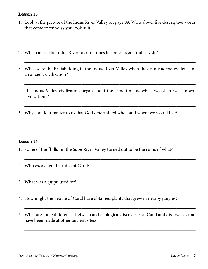1. Look at the picture of the Indus River Valley on page 89. Write down five descriptive words that come to mind as you look at it.

\_\_\_\_\_\_\_\_\_\_\_\_\_\_\_\_\_\_\_\_\_\_\_\_\_\_\_\_\_\_\_\_\_\_\_\_\_\_\_\_\_\_\_\_\_\_\_\_\_\_\_\_\_\_\_\_\_\_\_\_\_\_\_\_\_\_\_\_\_\_\_\_

\_\_\_\_\_\_\_\_\_\_\_\_\_\_\_\_\_\_\_\_\_\_\_\_\_\_\_\_\_\_\_\_\_\_\_\_\_\_\_\_\_\_\_\_\_\_\_\_\_\_\_\_\_\_\_\_\_\_\_\_\_\_\_\_\_\_\_\_\_\_\_\_

\_\_\_\_\_\_\_\_\_\_\_\_\_\_\_\_\_\_\_\_\_\_\_\_\_\_\_\_\_\_\_\_\_\_\_\_\_\_\_\_\_\_\_\_\_\_\_\_\_\_\_\_\_\_\_\_\_\_\_\_\_\_\_\_\_\_\_\_\_\_\_\_

\_\_\_\_\_\_\_\_\_\_\_\_\_\_\_\_\_\_\_\_\_\_\_\_\_\_\_\_\_\_\_\_\_\_\_\_\_\_\_\_\_\_\_\_\_\_\_\_\_\_\_\_\_\_\_\_\_\_\_\_\_\_\_\_\_\_\_\_\_\_\_\_

\_\_\_\_\_\_\_\_\_\_\_\_\_\_\_\_\_\_\_\_\_\_\_\_\_\_\_\_\_\_\_\_\_\_\_\_\_\_\_\_\_\_\_\_\_\_\_\_\_\_\_\_\_\_\_\_\_\_\_\_\_\_\_\_\_\_\_\_\_\_\_\_

\_\_\_\_\_\_\_\_\_\_\_\_\_\_\_\_\_\_\_\_\_\_\_\_\_\_\_\_\_\_\_\_\_\_\_\_\_\_\_\_\_\_\_\_\_\_\_\_\_\_\_\_\_\_\_\_\_\_\_\_\_\_\_\_\_\_\_\_\_\_\_\_

\_\_\_\_\_\_\_\_\_\_\_\_\_\_\_\_\_\_\_\_\_\_\_\_\_\_\_\_\_\_\_\_\_\_\_\_\_\_\_\_\_\_\_\_\_\_\_\_\_\_\_\_\_\_\_\_\_\_\_\_\_\_\_\_\_\_\_\_\_\_\_\_

\_\_\_\_\_\_\_\_\_\_\_\_\_\_\_\_\_\_\_\_\_\_\_\_\_\_\_\_\_\_\_\_\_\_\_\_\_\_\_\_\_\_\_\_\_\_\_\_\_\_\_\_\_\_\_\_\_\_\_\_\_\_\_\_\_\_\_\_\_\_\_\_

\_\_\_\_\_\_\_\_\_\_\_\_\_\_\_\_\_\_\_\_\_\_\_\_\_\_\_\_\_\_\_\_\_\_\_\_\_\_\_\_\_\_\_\_\_\_\_\_\_\_\_\_\_\_\_\_\_\_\_\_\_\_\_\_\_\_\_\_\_\_\_\_

\_\_\_\_\_\_\_\_\_\_\_\_\_\_\_\_\_\_\_\_\_\_\_\_\_\_\_\_\_\_\_\_\_\_\_\_\_\_\_\_\_\_\_\_\_\_\_\_\_\_\_\_\_\_\_\_\_\_\_\_\_\_\_\_\_\_\_\_\_\_\_\_

\_\_\_\_\_\_\_\_\_\_\_\_\_\_\_\_\_\_\_\_\_\_\_\_\_\_\_\_\_\_\_\_\_\_\_\_\_\_\_\_\_\_\_\_\_\_\_\_\_\_\_\_\_\_\_\_\_\_\_\_\_\_\_\_\_\_\_\_\_\_\_\_

\_\_\_\_\_\_\_\_\_\_\_\_\_\_\_\_\_\_\_\_\_\_\_\_\_\_\_\_\_\_\_\_\_\_\_\_\_\_\_\_\_\_\_\_\_\_\_\_\_\_\_\_\_\_\_\_\_\_\_\_\_\_\_\_\_\_\_\_\_\_\_\_

\_\_\_\_\_\_\_\_\_\_\_\_\_\_\_\_\_\_\_\_\_\_\_\_\_\_\_\_\_\_\_\_\_\_\_\_\_\_\_\_\_\_\_\_\_\_\_\_\_\_\_\_\_\_\_\_\_\_\_\_\_\_\_\_\_\_\_\_\_\_\_\_

\_\_\_\_\_\_\_\_\_\_\_\_\_\_\_\_\_\_\_\_\_\_\_\_\_\_\_\_\_\_\_\_\_\_\_\_\_\_\_\_\_\_\_\_\_\_\_\_\_\_\_\_\_\_\_\_\_\_\_\_\_\_\_\_\_\_\_\_\_\_\_\_

- 2. What causes the Indus River to sometimes become several miles wide?
- 3. What were the British doing in the Indus River Valley when they came across evidence of an ancient civilization?
- 4. The Indus Valley civilization began about the same time as what two other well-known civilizations?
- 5. Why should it matter to us that God determined when and where we would live?

- 1. Some of the "hills" in the Supe River Valley turned out to be the ruins of what?
- 2. Who excavated the ruins of Caral?
- 3. What was a quipu used for?
- 4. How might the people of Caral have obtained plants that grew in nearby jungles?
- 5. What are some differences between archaeological discoveries at Caral and discoveries that have been made at other ancient sites?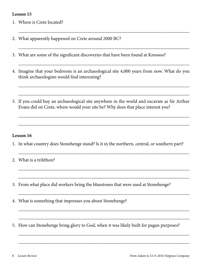- 1. Where is Crete located?
- 2. What apparently happened on Crete around 2000 BC?
- 3. What are some of the significant discoveries that have been found at Knossos?
- 4. Imagine that your bedroom is an archaeological site 4,000 years from now. What do you think archaeologists would find interesting?

\_\_\_\_\_\_\_\_\_\_\_\_\_\_\_\_\_\_\_\_\_\_\_\_\_\_\_\_\_\_\_\_\_\_\_\_\_\_\_\_\_\_\_\_\_\_\_\_\_\_\_\_\_\_\_\_\_\_\_\_\_\_\_\_\_\_\_\_\_\_\_\_

\_\_\_\_\_\_\_\_\_\_\_\_\_\_\_\_\_\_\_\_\_\_\_\_\_\_\_\_\_\_\_\_\_\_\_\_\_\_\_\_\_\_\_\_\_\_\_\_\_\_\_\_\_\_\_\_\_\_\_\_\_\_\_\_\_\_\_\_\_\_\_\_

\_\_\_\_\_\_\_\_\_\_\_\_\_\_\_\_\_\_\_\_\_\_\_\_\_\_\_\_\_\_\_\_\_\_\_\_\_\_\_\_\_\_\_\_\_\_\_\_\_\_\_\_\_\_\_\_\_\_\_\_\_\_\_\_\_\_\_\_\_\_\_\_

\_\_\_\_\_\_\_\_\_\_\_\_\_\_\_\_\_\_\_\_\_\_\_\_\_\_\_\_\_\_\_\_\_\_\_\_\_\_\_\_\_\_\_\_\_\_\_\_\_\_\_\_\_\_\_\_\_\_\_\_\_\_\_\_\_\_\_\_\_\_\_\_

\_\_\_\_\_\_\_\_\_\_\_\_\_\_\_\_\_\_\_\_\_\_\_\_\_\_\_\_\_\_\_\_\_\_\_\_\_\_\_\_\_\_\_\_\_\_\_\_\_\_\_\_\_\_\_\_\_\_\_\_\_\_\_\_\_\_\_\_\_\_\_\_

\_\_\_\_\_\_\_\_\_\_\_\_\_\_\_\_\_\_\_\_\_\_\_\_\_\_\_\_\_\_\_\_\_\_\_\_\_\_\_\_\_\_\_\_\_\_\_\_\_\_\_\_\_\_\_\_\_\_\_\_\_\_\_\_\_\_\_\_\_\_\_\_

\_\_\_\_\_\_\_\_\_\_\_\_\_\_\_\_\_\_\_\_\_\_\_\_\_\_\_\_\_\_\_\_\_\_\_\_\_\_\_\_\_\_\_\_\_\_\_\_\_\_\_\_\_\_\_\_\_\_\_\_\_\_\_\_\_\_\_\_\_\_\_\_

\_\_\_\_\_\_\_\_\_\_\_\_\_\_\_\_\_\_\_\_\_\_\_\_\_\_\_\_\_\_\_\_\_\_\_\_\_\_\_\_\_\_\_\_\_\_\_\_\_\_\_\_\_\_\_\_\_\_\_\_\_\_\_\_\_\_\_\_\_\_\_\_

\_\_\_\_\_\_\_\_\_\_\_\_\_\_\_\_\_\_\_\_\_\_\_\_\_\_\_\_\_\_\_\_\_\_\_\_\_\_\_\_\_\_\_\_\_\_\_\_\_\_\_\_\_\_\_\_\_\_\_\_\_\_\_\_\_\_\_\_\_\_\_\_

\_\_\_\_\_\_\_\_\_\_\_\_\_\_\_\_\_\_\_\_\_\_\_\_\_\_\_\_\_\_\_\_\_\_\_\_\_\_\_\_\_\_\_\_\_\_\_\_\_\_\_\_\_\_\_\_\_\_\_\_\_\_\_\_\_\_\_\_\_\_\_\_

\_\_\_\_\_\_\_\_\_\_\_\_\_\_\_\_\_\_\_\_\_\_\_\_\_\_\_\_\_\_\_\_\_\_\_\_\_\_\_\_\_\_\_\_\_\_\_\_\_\_\_\_\_\_\_\_\_\_\_\_\_\_\_\_\_\_\_\_\_\_\_\_

\_\_\_\_\_\_\_\_\_\_\_\_\_\_\_\_\_\_\_\_\_\_\_\_\_\_\_\_\_\_\_\_\_\_\_\_\_\_\_\_\_\_\_\_\_\_\_\_\_\_\_\_\_\_\_\_\_\_\_\_\_\_\_\_\_\_\_\_\_\_\_\_

\_\_\_\_\_\_\_\_\_\_\_\_\_\_\_\_\_\_\_\_\_\_\_\_\_\_\_\_\_\_\_\_\_\_\_\_\_\_\_\_\_\_\_\_\_\_\_\_\_\_\_\_\_\_\_\_\_\_\_\_\_\_\_\_\_\_\_\_\_\_\_\_

\_\_\_\_\_\_\_\_\_\_\_\_\_\_\_\_\_\_\_\_\_\_\_\_\_\_\_\_\_\_\_\_\_\_\_\_\_\_\_\_\_\_\_\_\_\_\_\_\_\_\_\_\_\_\_\_\_\_\_\_\_\_\_\_\_\_\_\_\_\_\_\_

\_\_\_\_\_\_\_\_\_\_\_\_\_\_\_\_\_\_\_\_\_\_\_\_\_\_\_\_\_\_\_\_\_\_\_\_\_\_\_\_\_\_\_\_\_\_\_\_\_\_\_\_\_\_\_\_\_\_\_\_\_\_\_\_\_\_\_\_\_\_\_\_

5. If you could buy an archaeological site anywhere in the world and excavate as Sir Arthur Evans did on Crete, where would your site be? Why does that place interest you?

#### **Lesson 16**

1. In what country does Stonehenge stand? Is it in the northern, central, or southern part?

2. What is a trilithon?

- 3. From what place did workers bring the bluestones that were used at Stonehenge?
- 4. What is something that impresses you about Stonehenge?
- 5. How can Stonehenge bring glory to God, when it was likely built for pagan purposes?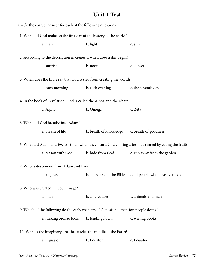# **Unit 1 Test**

| Circle the correct answer for each of the following questions.                                       |                        |                                              |                                                              |  |  |
|------------------------------------------------------------------------------------------------------|------------------------|----------------------------------------------|--------------------------------------------------------------|--|--|
| 1. What did God make on the first day of the history of the world?                                   |                        |                                              |                                                              |  |  |
|                                                                                                      | a. man                 | b. light                                     | c. sun                                                       |  |  |
| 2. According to the description in Genesis, when does a day begin?                                   |                        |                                              |                                                              |  |  |
|                                                                                                      | a. sunrise             | b. noon                                      | c. sunset                                                    |  |  |
| 3. When does the Bible say that God rested from creating the world?                                  |                        |                                              |                                                              |  |  |
|                                                                                                      | a. each morning        | b. each evening                              | c. the seventh day                                           |  |  |
| 4. In the book of Revelation, God is called the Alpha and the what?                                  |                        |                                              |                                                              |  |  |
|                                                                                                      | a. Alpho               | b. Omega                                     | c. Zeta                                                      |  |  |
| 5. What did God breathe into Adam?                                                                   |                        |                                              |                                                              |  |  |
|                                                                                                      | a. breath of life      | b. breath of knowledge c. breath of goodness |                                                              |  |  |
| 6. What did Adam and Eve try to do when they heard God coming after they sinned by eating the fruit? |                        |                                              |                                                              |  |  |
|                                                                                                      | a. reason with God     | b. hide from God                             | c. run away from the garden                                  |  |  |
| 7. Who is descended from Adam and Eve?                                                               |                        |                                              |                                                              |  |  |
|                                                                                                      | a. all Jews            |                                              | b. all people in the Bible c. all people who have ever lived |  |  |
| 8. Who was created in God's image?                                                                   |                        |                                              |                                                              |  |  |
|                                                                                                      | a. man                 | b. all creatures                             | c. animals and man                                           |  |  |
| 9. Which of the following do the early chapters of Genesis not mention people doing?                 |                        |                                              |                                                              |  |  |
|                                                                                                      | a. making bronze tools | b. tending flocks                            | c. writing books                                             |  |  |
| 10. What is the imaginary line that circles the middle of the Earth?                                 |                        |                                              |                                                              |  |  |
|                                                                                                      | a. Equasion            | b. Equator                                   | c. Ecuador                                                   |  |  |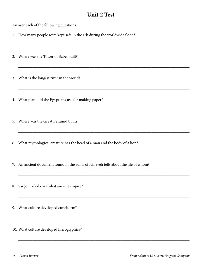### **Unit 2 Test**

\_\_\_\_\_\_\_\_\_\_\_\_\_\_\_\_\_\_\_\_\_\_\_\_\_\_\_\_\_\_\_\_\_\_\_\_\_\_\_\_\_\_\_\_\_\_\_\_\_\_\_\_\_\_\_\_\_\_\_\_\_\_\_\_\_\_\_\_\_\_\_\_

\_\_\_\_\_\_\_\_\_\_\_\_\_\_\_\_\_\_\_\_\_\_\_\_\_\_\_\_\_\_\_\_\_\_\_\_\_\_\_\_\_\_\_\_\_\_\_\_\_\_\_\_\_\_\_\_\_\_\_\_\_\_\_\_\_\_\_\_\_\_\_\_

\_\_\_\_\_\_\_\_\_\_\_\_\_\_\_\_\_\_\_\_\_\_\_\_\_\_\_\_\_\_\_\_\_\_\_\_\_\_\_\_\_\_\_\_\_\_\_\_\_\_\_\_\_\_\_\_\_\_\_\_\_\_\_\_\_\_\_\_\_\_\_\_

\_\_\_\_\_\_\_\_\_\_\_\_\_\_\_\_\_\_\_\_\_\_\_\_\_\_\_\_\_\_\_\_\_\_\_\_\_\_\_\_\_\_\_\_\_\_\_\_\_\_\_\_\_\_\_\_\_\_\_\_\_\_\_\_\_\_\_\_\_\_\_\_

\_\_\_\_\_\_\_\_\_\_\_\_\_\_\_\_\_\_\_\_\_\_\_\_\_\_\_\_\_\_\_\_\_\_\_\_\_\_\_\_\_\_\_\_\_\_\_\_\_\_\_\_\_\_\_\_\_\_\_\_\_\_\_\_\_\_\_\_\_\_\_\_

\_\_\_\_\_\_\_\_\_\_\_\_\_\_\_\_\_\_\_\_\_\_\_\_\_\_\_\_\_\_\_\_\_\_\_\_\_\_\_\_\_\_\_\_\_\_\_\_\_\_\_\_\_\_\_\_\_\_\_\_\_\_\_\_\_\_\_\_\_\_\_\_

\_\_\_\_\_\_\_\_\_\_\_\_\_\_\_\_\_\_\_\_\_\_\_\_\_\_\_\_\_\_\_\_\_\_\_\_\_\_\_\_\_\_\_\_\_\_\_\_\_\_\_\_\_\_\_\_\_\_\_\_\_\_\_\_\_\_\_\_\_\_\_\_

\_\_\_\_\_\_\_\_\_\_\_\_\_\_\_\_\_\_\_\_\_\_\_\_\_\_\_\_\_\_\_\_\_\_\_\_\_\_\_\_\_\_\_\_\_\_\_\_\_\_\_\_\_\_\_\_\_\_\_\_\_\_\_\_\_\_\_\_\_\_\_\_

\_\_\_\_\_\_\_\_\_\_\_\_\_\_\_\_\_\_\_\_\_\_\_\_\_\_\_\_\_\_\_\_\_\_\_\_\_\_\_\_\_\_\_\_\_\_\_\_\_\_\_\_\_\_\_\_\_\_\_\_\_\_\_\_\_\_\_\_\_\_\_\_

\_\_\_\_\_\_\_\_\_\_\_\_\_\_\_\_\_\_\_\_\_\_\_\_\_\_\_\_\_\_\_\_\_\_\_\_\_\_\_\_\_\_\_\_\_\_\_\_\_\_\_\_\_\_\_\_\_\_\_\_\_\_\_\_\_\_\_\_\_\_\_\_

Answer each of the following questions.

- 1. How many people were kept safe in the ark during the worldwide flood?
- 2. Where was the Tower of Babel built?
- 3. What is the longest river in the world?
- 4. What plant did the Egyptians use for making paper?
- 5. Where was the Great Pyramid built?
- 6. What mythological creature has the head of a man and the body of a lion?
- 7. An ancient document found in the ruins of Nineveh tells about the life of whom?
- 8. Sargon ruled over what ancient empire?
- 9. What culture developed cuneiform?
- 10. What culture developed hieroglyphics?